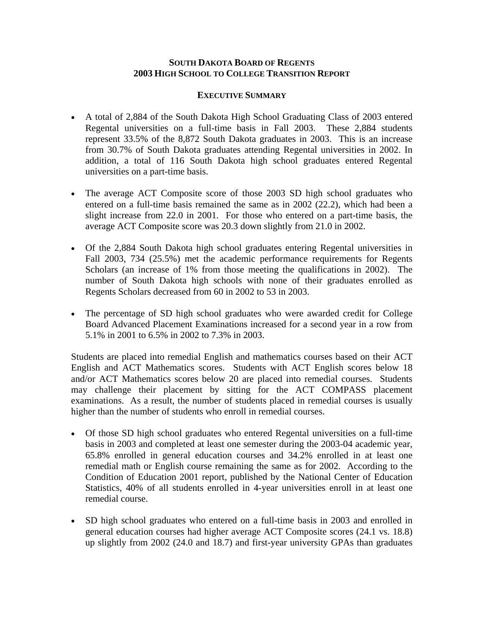#### **SOUTH DAKOTA BOARD OF REGENTS 2003 HIGH SCHOOL TO COLLEGE TRANSITION REPORT**

#### **EXECUTIVE SUMMARY**

- A total of 2,884 of the South Dakota High School Graduating Class of 2003 entered Regental universities on a full-time basis in Fall 2003. These 2,884 students represent 33.5% of the 8,872 South Dakota graduates in 2003. This is an increase from 30.7% of South Dakota graduates attending Regental universities in 2002. In addition, a total of 116 South Dakota high school graduates entered Regental universities on a part-time basis.
- The average ACT Composite score of those 2003 SD high school graduates who entered on a full-time basis remained the same as in 2002 (22.2), which had been a slight increase from 22.0 in 2001. For those who entered on a part-time basis, the average ACT Composite score was 20.3 down slightly from 21.0 in 2002.
- Of the 2,884 South Dakota high school graduates entering Regental universities in Fall 2003, 734 (25.5%) met the academic performance requirements for Regents Scholars (an increase of 1% from those meeting the qualifications in 2002). The number of South Dakota high schools with none of their graduates enrolled as Regents Scholars decreased from 60 in 2002 to 53 in 2003.
- The percentage of SD high school graduates who were awarded credit for College Board Advanced Placement Examinations increased for a second year in a row from 5.1% in 2001 to 6.5% in 2002 to 7.3% in 2003.

Students are placed into remedial English and mathematics courses based on their ACT English and ACT Mathematics scores. Students with ACT English scores below 18 and/or ACT Mathematics scores below 20 are placed into remedial courses. Students may challenge their placement by sitting for the ACT COMPASS placement examinations. As a result, the number of students placed in remedial courses is usually higher than the number of students who enroll in remedial courses.

- Of those SD high school graduates who entered Regental universities on a full-time basis in 2003 and completed at least one semester during the 2003-04 academic year, 65.8% enrolled in general education courses and 34.2% enrolled in at least one remedial math or English course remaining the same as for 2002. According to the Condition of Education 2001 report, published by the National Center of Education Statistics, 40% of all students enrolled in 4-year universities enroll in at least one remedial course.
- SD high school graduates who entered on a full-time basis in 2003 and enrolled in general education courses had higher average ACT Composite scores (24.1 vs. 18.8) up slightly from 2002 (24.0 and 18.7) and first-year university GPAs than graduates